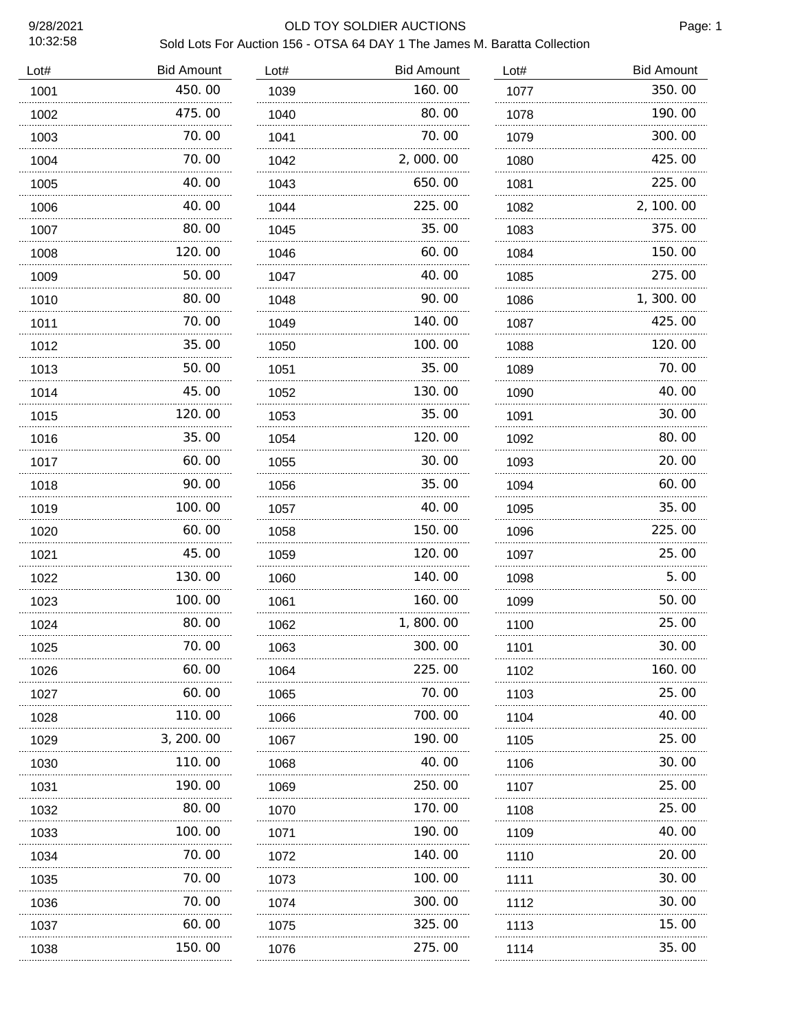10:32:58

### 9/28/2021 OLD TOY SOLDIER AUCTIONS

Page: 1

| Lot# | <b>Bid Amount</b> | Lot# | <b>Bid Amount</b> | Lot# | <b>Bid Amount</b> |
|------|-------------------|------|-------------------|------|-------------------|
| 1001 | 450.00            | 1039 | 160.00            | 1077 | 350.00            |
| 1002 | 475.00            | 1040 | 80.00             | 1078 | 190.00            |
| 1003 | 70.00             | 1041 | 70.00             | 1079 | 300.00            |
| 1004 | 70.00             | 1042 | 2,000.00          | 1080 | 425.00            |
| 1005 | 40.00             | 1043 | 650.00            | 1081 | 225.00            |
| 1006 | 40.00             | 1044 | 225.00            | 1082 | 2, 100.00         |
| 1007 | 80.00             | 1045 | 35.00             | 1083 | 375.00            |
| 1008 | 120.00            | 1046 | 60.00             | 1084 | 150.00            |
| 1009 | 50.00             | 1047 | 40.00             | 1085 | 275.00            |
| 1010 | 80. 00            | 1048 | 90.00             | 1086 | 1,300.00          |
| 1011 | 70.00             | 1049 | 140. 00           | 1087 | 425.00            |
| 1012 | 35.00             | 1050 | 100.00            | 1088 | 120.00            |
| 1013 | 50.00             | 1051 | 35.00             | 1089 | 70.00             |
| 1014 | 45.00             | 1052 | 130.00            | 1090 | 40.00             |
| 1015 | 120.00            | 1053 | 35.00             | 1091 | 30.00             |
| 1016 | 35.00             | 1054 | 120.00            | 1092 | 80.00             |
| 1017 | 60.00             | 1055 | 30.00             | 1093 | 20.00             |
| 1018 | 90.00             | 1056 | 35.00             | 1094 | 60.00             |
| 1019 | 100.00            | 1057 | 40.00             | 1095 | 35.00             |
| 1020 | 60.00             | 1058 | 150.00            | 1096 | 225.00            |
| 1021 | 45.00             | 1059 | 120.00            | 1097 | 25.00             |
| 1022 | 130.00            | 1060 | 140.00            | 1098 | 5.00              |
| 1023 | 100.00            | 1061 | 160.00            | 1099 | 50.00             |
| 1024 | 80.00             | 1062 | 1,800.00          | 1100 | 25.00             |
| 1025 | 70.00             | 1063 | 300.00            | 1101 | 30.00             |
| 1026 | 60. 00            | 1064 | 225.00            | 1102 | 160. 00           |
| 1027 | 60.00             | 1065 | 70. 00            | 1103 | 25.00             |
| 1028 | 110. 00           | 1066 | 700.00            | 1104 | 40. OO            |
| 1029 | 3, 200. 00        | 1067 | 190.00            | 1105 | 25.00             |
| 1030 | 110.00            | 1068 | 40. OO            | 1106 | 30. 00            |
| 1031 | 190. 00           | 1069 | 250.00            | 1107 | 25. 00            |
| 1032 | 80.00             | 1070 | 170.00            | 1108 | 25.00             |
| 1033 | 100. 00           | 1071 | 190.00            | 1109 | 40. 00            |
| 1034 | 70.00             | 1072 | 140.00            | 1110 | 20.00             |
| 1035 | 70.00             | 1073 | 100.00            | 1111 | 30.00             |
| 1036 | 70. 00            | 1074 | 300.00            | 1112 | 30. 00            |
| 1037 | 60. 00            | 1075 | 325.00            | 1113 | 15.00             |
| 1038 | 150.00            | 1076 | 275.00            | 1114 | 35.00             |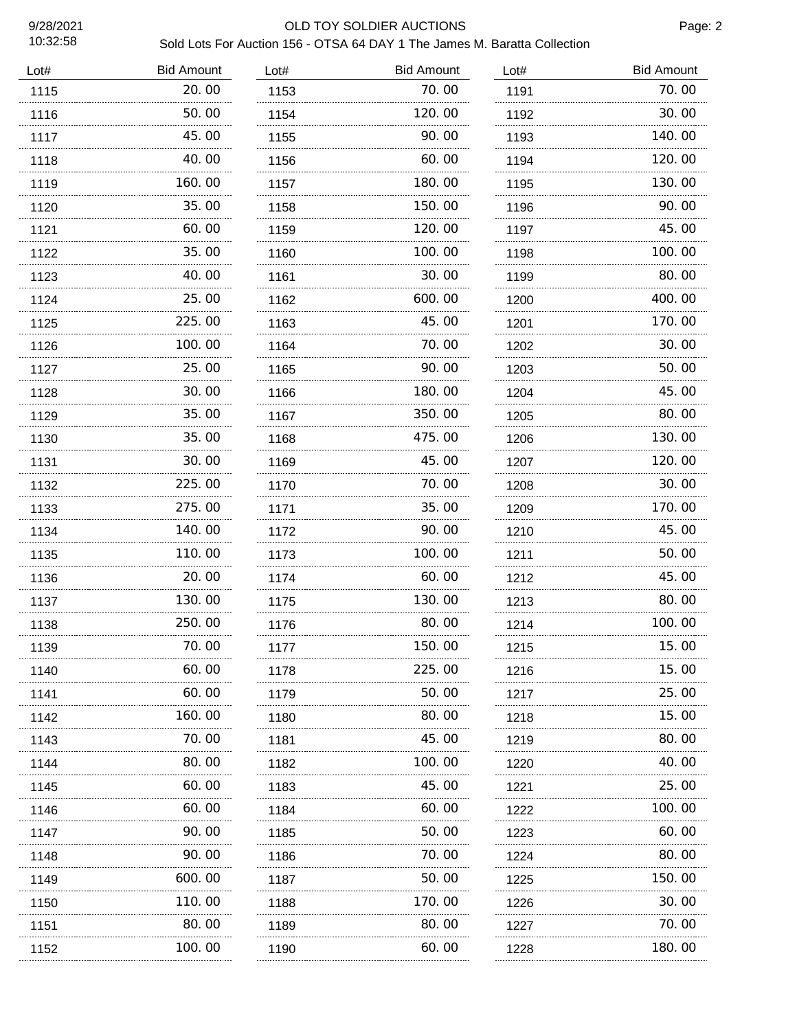10:32:58

### 9/28/2021 OLD TOY SOLDIER AUCTIONS

| Lot# | <b>Bid Amount</b> | Lot# | <b>Bid Amount</b> | Lot# | <b>Bid Amount</b> |
|------|-------------------|------|-------------------|------|-------------------|
| 1115 | 20.00             | 1153 | 70.00             | 1191 | 70.00             |
| 1116 | 50.00             | 1154 | 120.00            | 1192 | 30.00             |
| 1117 | 45.00             | 1155 | 90.00             | 1193 | 140.00            |
| 1118 | 40.00             | 1156 | 60.00             | 1194 | 120.00            |
| 1119 | 160.00            | 1157 | 180.00            | 1195 | 130.00            |
| 1120 | 35.00             | 1158 | 150.00            | 1196 | 90.00             |
| 1121 | 60.00             | 1159 | 120.00            | 1197 | 45.00             |
| 1122 | 35.00             | 1160 | 100.00            | 1198 | 100.00            |
| 1123 | 40.00             | 1161 | 30.00             | 1199 | 80.00             |
| 1124 | 25.00             | 1162 | 600.00            | 1200 | 400.00            |
| 1125 | 225.00<br>.       | 1163 | 45.00             | 1201 | 170.00            |
| 1126 | 100.00            | 1164 | 70.00             | 1202 | 30.00             |
| 1127 | 25.00             | 1165 | 90.00             | 1203 | 50.00             |
| 1128 | 30.00             | 1166 | 180.00            | 1204 | 45.00             |
| 1129 | 35.00             | 1167 | 350.00            | 1205 | 80.00             |
| 1130 | 35.00             | 1168 | 475.00            | 1206 | 130.00            |
| 1131 | 30.00             | 1169 | 45.00             | 1207 | 120.00            |
| 1132 | 225.00            | 1170 | 70.00             | 1208 | 30.00             |
| 1133 | 275.00            | 1171 | 35.00             | 1209 | 170.00            |
| 1134 | 140.00            | 1172 | 90.00             | 1210 | 45.00             |
| 1135 | 110.00            | 1173 | 100.00            | 1211 | 50.00             |
| 1136 | 20.00             | 1174 | 60.00             | 1212 | 45.00             |
| 1137 | 130.00            | 1175 | 130.00            | 1213 | 80.00             |
| 1138 | 250.00            | 1176 | 80.00             | 1214 | 100.00            |
| 1139 | 70.00             | 1177 | 150.00            | 1215 | 15.00             |
| 1140 | 60.00             | 1178 | 225.00            | 1216 | 15.00             |
| 1141 | 60.00             | 1179 | 50.00             | 1217 | 25.00             |
| 1142 | 160.00            | 1180 | 80.00             | 1218 | 15.00             |
| 1143 | 70.00             | 1181 | 45.00             | 1219 | 80.00             |
| 1144 | 80.00             | 1182 | 100. 00           | 1220 | 40.00             |
| 1145 | 60.00             | 1183 | 45.00             | 1221 | 25.00             |
| 1146 | 60.00             | 1184 | 60.00             | 1222 | 100.00            |
| 1147 | 90.00             | 1185 | 50.00             | 1223 | 60.00             |
| 1148 | 90.00             | 1186 | 70.00             | 1224 | 80.00             |
| 1149 | 600.00            | 1187 | 50.00             | 1225 | 150.00            |
| 1150 | 110.00            | 1188 | 170. 00           | 1226 | 30.00             |
| 1151 | 80.00             | 1189 | 80.00             | 1227 | 70.00             |
| 1152 | 100.00            | 1190 | 60. 00            | 1228 | 180.00            |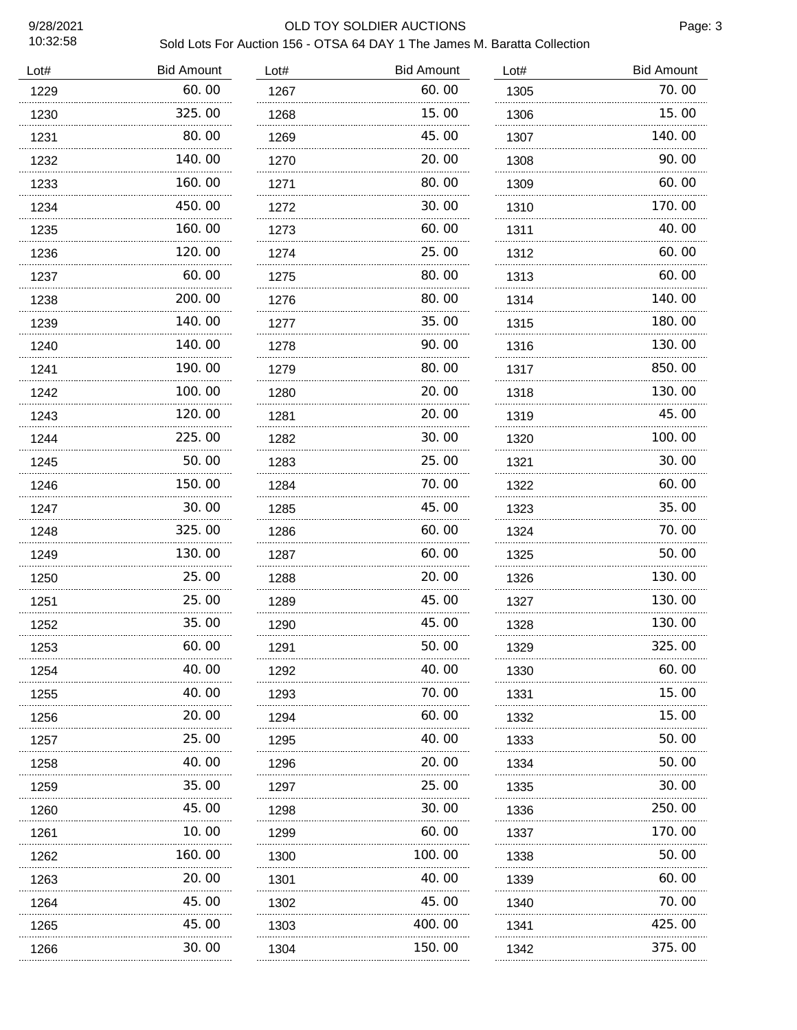10:32:58

### 9/28/2021 OLD TOY SOLDIER AUCTIONS

| Lot# | <b>Bid Amount</b> | Lot# | <b>Bid Amount</b> | Lot# | <b>Bid Amount</b> |
|------|-------------------|------|-------------------|------|-------------------|
| 1229 | 60.00             | 1267 | 60.00             | 1305 | 70.00             |
| 1230 | 325.00            | 1268 | 15.00             | 1306 | 15.00             |
| 1231 | 80.00             | 1269 | 45.00             | 1307 | 140.00            |
| 1232 | 140.00            | 1270 | 20. 00            | 1308 | 90.00             |
| 1233 | 160.00            | 1271 | 80.00             | 1309 | 60.00             |
| 1234 | 450.00            | 1272 | 30.00             | 1310 | 170.00            |
| 1235 | 160.00            | 1273 | 60.00             | 1311 | 40.00             |
| 1236 | 120.00            | 1274 | 25.00             | 1312 | 60.00             |
| 1237 | 60.00             | 1275 | 80.00             | 1313 | 60.00             |
| 1238 | 200.00            | 1276 | 80.00             | 1314 | 140.00            |
| 1239 | 140.00            | 1277 | 35.00             | 1315 | 180.00            |
| 1240 | 140.00            | 1278 | 90.00             | 1316 | 130.00            |
| 1241 | 190.00            | 1279 | 80.00             | 1317 | 850.00            |
| 1242 | 100.00            | 1280 | 20. 00            | 1318 | 130.00            |
| 1243 | 120.00            | 1281 | 20.00             | 1319 | 45.00             |
| 1244 | 225.00            | 1282 | 30.00             | 1320 | 100.00            |
| 1245 | 50.00             | 1283 | 25.00             | 1321 | 30.00             |
| 1246 | 150.00            | 1284 | 70.00             | 1322 | 60.00             |
| 1247 | 30.00             | 1285 | 45.00             | 1323 | 35.00             |
| 1248 | 325.00            | 1286 | 60.00             | 1324 | 70.00             |
| 1249 | 130.00            | 1287 | 60.00             | 1325 | 50.00             |
| 1250 | 25.00             | 1288 | 20.00             | 1326 | 130.00            |
| 1251 | 25.00             | 1289 | 45.00             | 1327 | 130.00            |
| 1252 | 35.00             | 1290 | 45.00             | 1328 | 130.00            |
| 1253 | 60. OO<br>.       | 1291 | 50. OO            | 1329 | 325. OO           |
| 1254 | 40. 00            | 1292 | 40. OO            | 1330 | 60.00             |
| 1255 | 40.00             | 1293 | 70.00             | 1331 | 15.00             |
| 1256 | 20.00             | 1294 | 60.00             | 1332 | 15.00             |
| 1257 | 25.00<br>.        | 1295 | 40.00             | 1333 | 50.00             |
| 1258 | 40.00             | 1296 | 20.00             | 1334 | 50.00             |
| 1259 | 35.00<br>.        | 1297 | 25.00             | 1335 | 30.00             |
| 1260 | 45.00             | 1298 | 30. OO            | 1336 | 250.00            |
| 1261 | 10. 00<br>.       | 1299 | 60. 00            | 1337 | 170. 00           |
| 1262 | 160. 00           | 1300 | 100. 00           | 1338 | 50.00             |
| 1263 | .<br>20.00        | 1301 | 40.00             | 1339 | 60.00             |
| 1264 | .<br>45.00        | 1302 | 45.00             | 1340 | 70.00             |
| 1265 | 45.00             | 1303 | 400.00            | 1341 | 425.00            |
| 1266 | 30.00             | 1304 | 150.00            | 1342 | 375.00            |
|      |                   |      |                   |      |                   |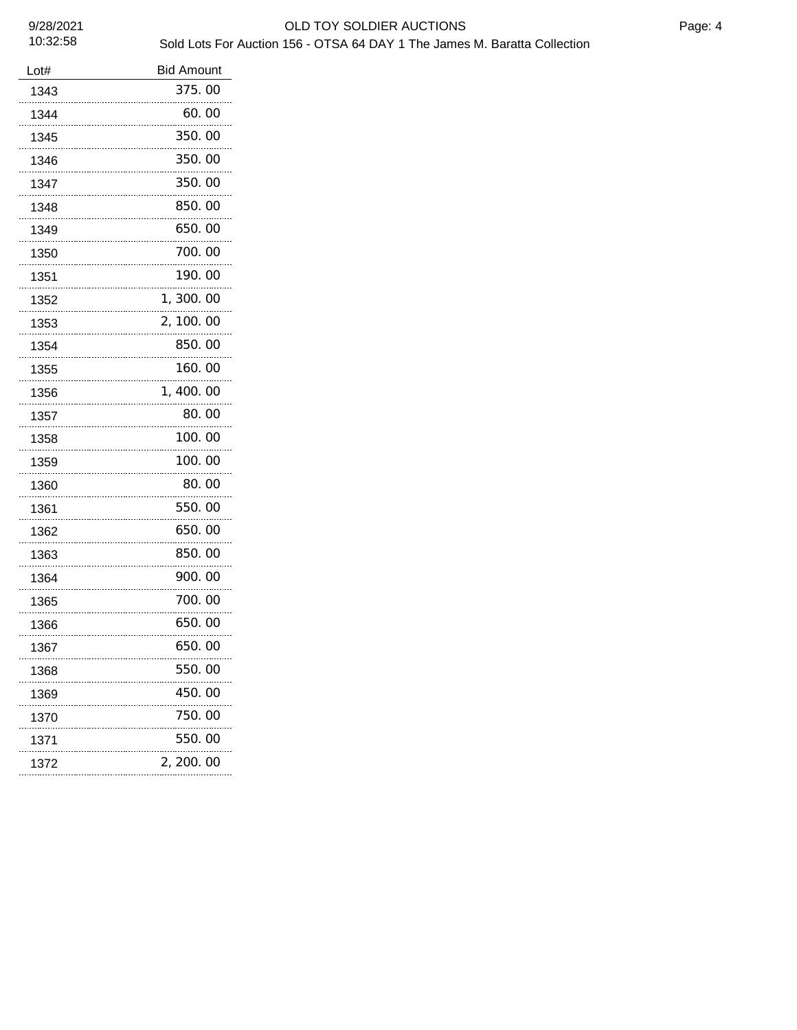| Lot# | <b>Bid Amount</b> |
|------|-------------------|
| 1343 | 375.00            |
| 1344 | 60.00             |
| 1345 | 350.00            |
| 1346 | 350.00            |
| 1347 | 350.00            |
| 1348 | 850.00            |
| 1349 | 650.00            |
| 1350 | 700.00            |
| 1351 | 190.00            |
| 1352 | 1,300.00          |
| 1353 | 2, 100.00         |
| 1354 | 850.00            |
| 1355 | 160.00            |
| 1356 | 1,400.00          |
| 1357 | 80.00             |
| 1358 | 100.00            |
| 1359 | 100.00            |
| 1360 | 80.00             |
| 1361 | 550.00            |
| 1362 | 650.00            |
| 1363 | 850.00            |
| 1364 | 900.00            |
| 1365 | 700.00            |
| 1366 | 650.00            |
| 1367 | 650.00            |
| 1368 | 550.00            |
| 1369 | 450.00            |
| 1370 | 750.00            |
| 1371 | 550.00            |
| 1372 | 2, 200. 00        |
|      |                   |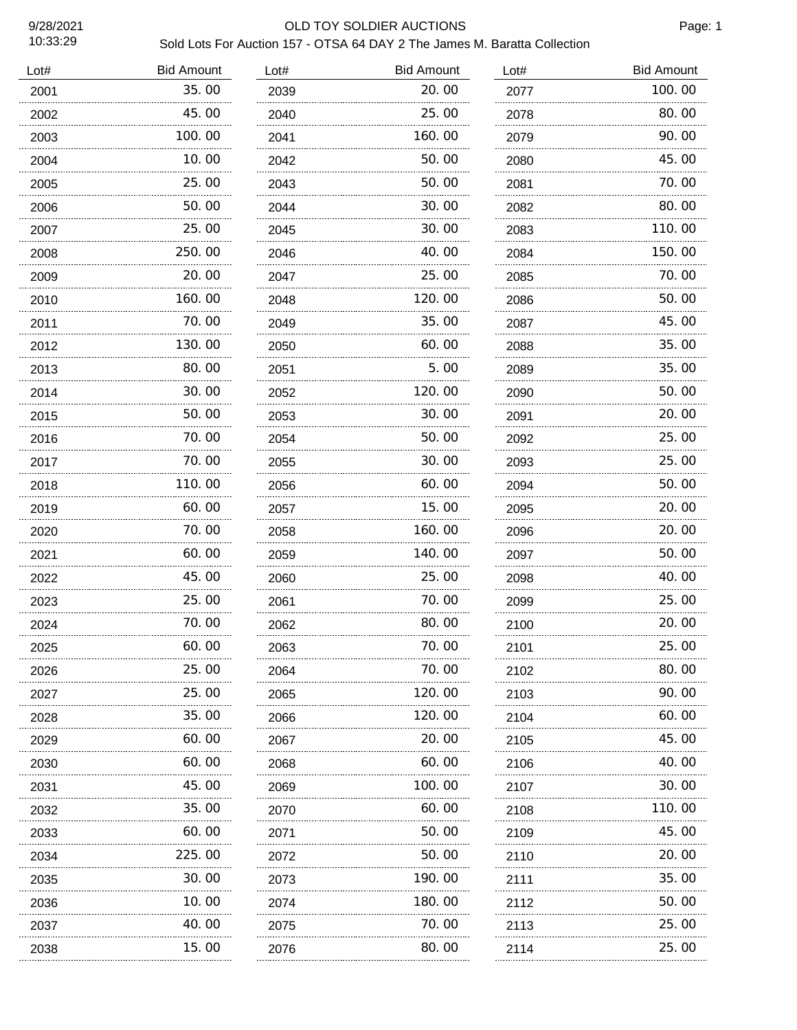### 9/28/2021 OLD TOY SOLDIER AUCTIONS

Page: 1

| Lot# | <b>Bid Amount</b> | Lot# | <b>Bid Amount</b> | Lot# | <b>Bid Amount</b> |
|------|-------------------|------|-------------------|------|-------------------|
| 2001 | 35.00             | 2039 | 20.00             | 2077 | 100.00            |
| 2002 | 45.00             | 2040 | 25.00             | 2078 | 80.00             |
| 2003 | 100.00            | 2041 | 160.00            | 2079 | 90.00             |
| 2004 | 10.00             | 2042 | 50.00             | 2080 | 45.00             |
| 2005 | 25.00             | 2043 | 50.00             | 2081 | 70.00             |
| 2006 | 50.00             | 2044 | 30.00             | 2082 | 80.00             |
| 2007 | 25.00             | 2045 | 30.00             | 2083 | 110.00            |
| 2008 | 250.00            | 2046 | 40.00             | 2084 | 150.00            |
| 2009 | 20.00             | 2047 | 25.00             | 2085 | 70.00             |
| 2010 | 160.00            | 2048 | 120.00            | 2086 | 50.00             |
| 2011 | 70.00             | 2049 | 35.00             | 2087 | 45.00             |
| 2012 | 130.00            | 2050 | 60.00             | 2088 | 35.00             |
| 2013 | 80.00             | 2051 | 5.00              | 2089 | 35.00             |
| 2014 | 30.00             | 2052 | 120.00            | 2090 | 50.00             |
| 2015 | 50.00             | 2053 | 30.00             | 2091 | 20.00             |
| 2016 | 70.00             | 2054 | 50.00             | 2092 | 25.00             |
| 2017 | 70. 00            | 2055 | 30. 00            | 2093 | 25.00             |
| 2018 | 110.00            | 2056 | 60.00             | 2094 | 50.00             |
| 2019 | 60. 00            | 2057 | 15. 00            | 2095 | 20.00             |
| 2020 | 70. 00            | 2058 | 160.00            | 2096 | 20.00             |
| 2021 | 60.00             | 2059 | 140.00            | 2097 | 50.00             |
| 2022 | 45.00             | 2060 | 25.00             | 2098 | 40.00             |
| 2023 | 25.00             | 2061 | 70.00             | 2099 | 25.00             |
| 2024 | 70.00             | 2062 | 80.00             | 2100 | 20.00             |
| 2025 | 60.00<br>.        | 2063 | 70.00             | 2101 | 25.00             |
| 2026 | 25.00             | 2064 | 70.00             | 2102 | 80.00             |
| 2027 | 25.00<br>.        | 2065 | 120.00            | 2103 | 90.00             |
| 2028 | 35.00             | 2066 | 120. 00           | 2104 | 60.00             |
| 2029 | 60.00             | 2067 | 20.00             | 2105 | 45. OO            |
| 2030 | 60.00             | 2068 | 60.00             | 2106 | 40. 00            |
| 2031 | 45.00             | 2069 | 100. 00           | 2107 | 30.00             |
| 2032 | 35.00             | 2070 | 60.00             | 2108 | 110.00            |
| 2033 | 60.00             | 2071 | 50.00             | 2109 | 45.00             |
| 2034 | 225.00            | 2072 | 50.00             | 2110 | 20.00             |
| 2035 | 30.00             | 2073 | 190.00            | 2111 | 35.00             |
| 2036 | 10.00             | 2074 | 180.00            | 2112 | 50.00             |
| 2037 | 40.00             | 2075 | 70.00             | 2113 | 25.00             |
| 2038 | 15.00             | 2076 | 80.00             | 2114 | 25.00             |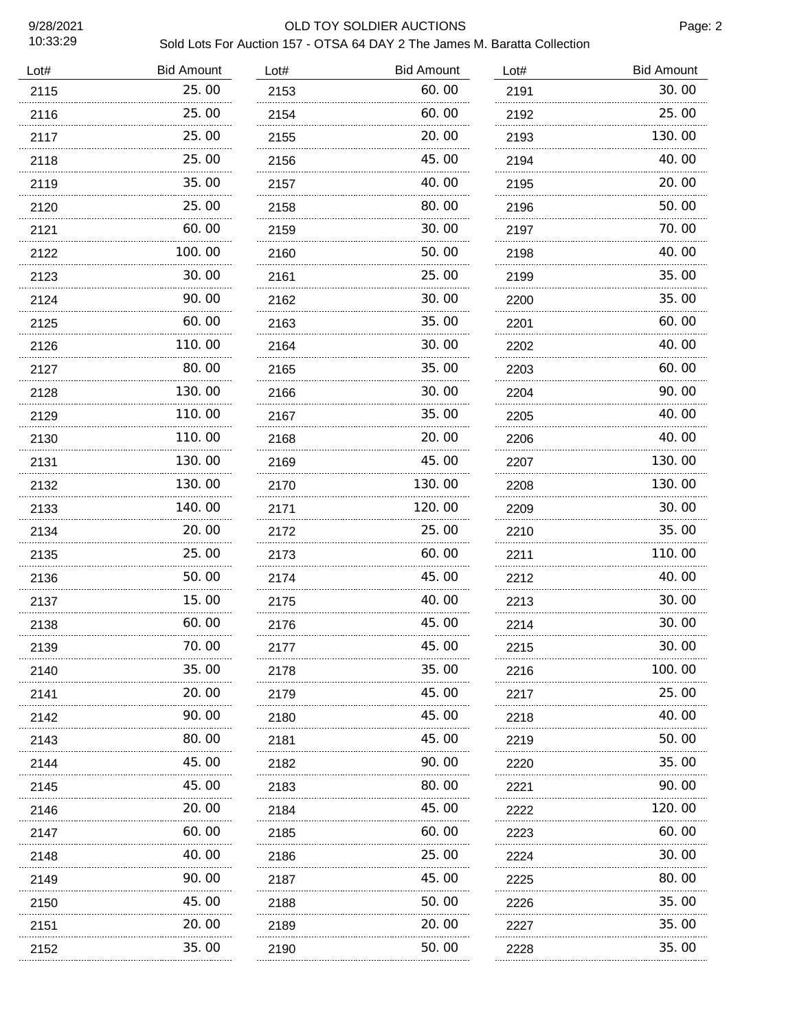### 9/28/2021 OLD TOY SOLDIER AUCTIONS

| <b>Bid Amount</b>    |
|----------------------|
| 30.00<br>2191        |
| 25.00<br>2192        |
| 130.00<br>2193       |
| 40.00<br>2194        |
| 20.00<br>2195        |
| 50.00<br>2196        |
| 70.00<br>2197        |
| 40.00<br>2198        |
| 35.00<br>2199        |
| 35.00<br>2200        |
| 60.00<br>2201        |
| 40.00<br>2202        |
| 60.00<br>2203        |
| 90.00<br>2204        |
| 40.00<br>2205        |
| 40.00<br>2206        |
| 130.00<br>2207       |
| 130.00<br>2208       |
| 30.00<br>2209        |
| 35.00<br>2210        |
| 110.00               |
| 40.00<br>2212        |
| 30.00<br>2213        |
| 30.00<br>2214        |
| 30.00<br>2215        |
| 100, 00<br>2216      |
| 25.00<br>2217        |
| 40.00<br>2218        |
| 50.00<br>2219        |
| 35.00<br>2220        |
| 90.00                |
| 120.00<br>2222       |
| 60.00<br>2223        |
| 30.00<br>2224        |
| 80.00<br>2225        |
| 35.00<br>2226        |
| 35.00                |
| 35.00<br>2228        |
| 2211<br>2221<br>2227 |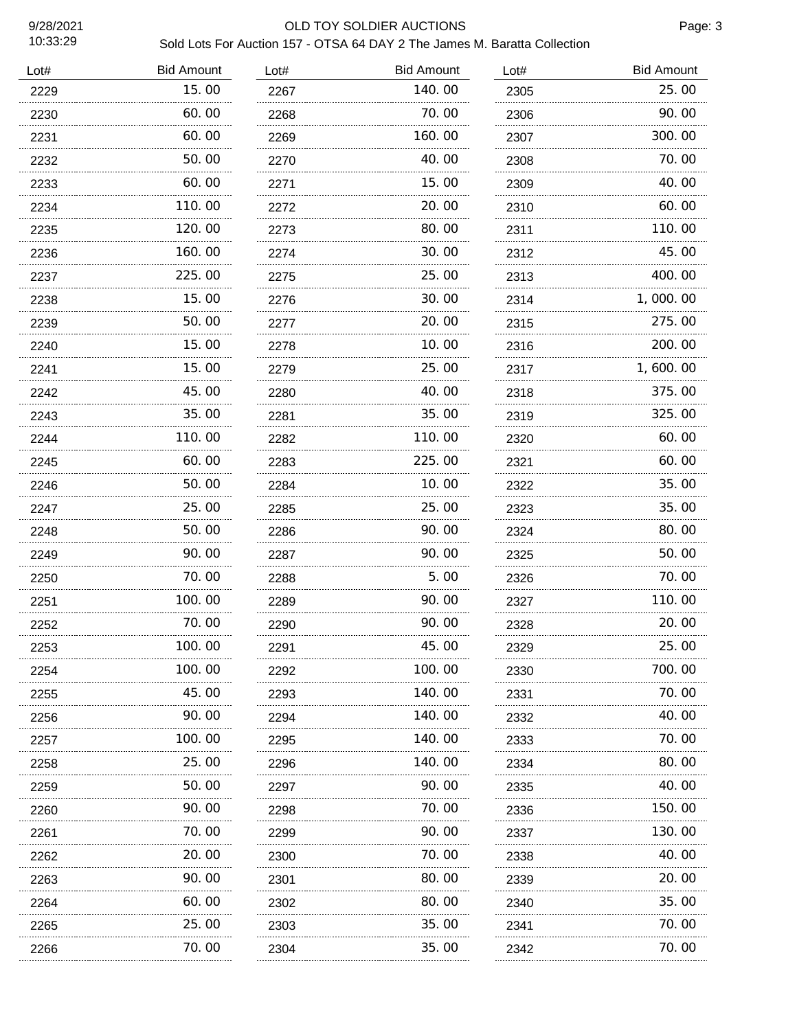### 9/28/2021 OLD TOY SOLDIER AUCTIONS

| Lot# | <b>Bid Amount</b> | Lot# | <b>Bid Amount</b> | Lot# | <b>Bid Amount</b> |
|------|-------------------|------|-------------------|------|-------------------|
| 2229 | 15.00             | 2267 | 140.00            | 2305 | 25.00             |
| 2230 | 60.00             | 2268 | 70.00             | 2306 | 90.00             |
| 2231 | 60.00             | 2269 | 160.00            | 2307 | 300.00            |
| 2232 | 50.00             | 2270 | 40.00             | 2308 | 70.00             |
| 2233 | 60.00             | 2271 | 15.00             | 2309 | 40.00             |
| 2234 | 110.00            | 2272 | 20.00             | 2310 | 60.00             |
| 2235 | 120.00            | 2273 | 80.00             | 2311 | 110.00            |
| 2236 | 160.00            | 2274 | 30.00             | 2312 | 45.00             |
| 2237 | 225.00            | 2275 | 25.00             | 2313 | 400.00            |
| 2238 | 15.00             | 2276 | 30.00             | 2314 | 1,000.00          |
| 2239 | 50.00             | 2277 | 20.00             | 2315 | 275.00            |
| 2240 | 15.00             | 2278 | 10.00             | 2316 | 200.00            |
| 2241 | 15.00             | 2279 | 25.00             | 2317 | 1,600.00          |
| 2242 | 45.00             | 2280 | 40.00             | 2318 | 375.00            |
| 2243 | 35.00             | 2281 | 35.00             | 2319 | 325.00            |
| 2244 | 110.00            | 2282 | 110.00            | 2320 | 60.00             |
| 2245 | 60.00             | 2283 | 225.00            | 2321 | 60.00             |
| 2246 | 50.00             | 2284 | 10.00             | 2322 | 35.00             |
| 2247 | 25.00             | 2285 | 25.00             | 2323 | 35.00             |
| 2248 | 50.00             | 2286 | 90.00             | 2324 | 80.00             |
| 2249 | 90.00             | 2287 | 90.00             | 2325 | 50.00             |
| 2250 | 70.00             | 2288 | 5.00              | 2326 | 70.00             |
| 2251 | 100.00            | 2289 | 90.00             | 2327 | 110.00            |
| 2252 | 70.00             | 2290 | 90.00             | 2328 | 20.00             |
| 2253 | 100. 00<br>.      | 2291 | 45. UU            | 2329 | 25.00             |
| 2254 | 100.00            | 2292 | 100.00            | 2330 | 700.00            |
| 2255 | 45.00             | 2293 | 140. 00           | 2331 | 70.00             |
| 2256 | 90.00             | 2294 | 140.00            | 2332 | 40.00             |
| 2257 | 100.00<br>.       | 2295 | 140. 00           | 2333 | 70. 00            |
| 2258 | 25.00             | 2296 | 140.00            | 2334 | 80.00             |
| 2259 | 50. 00            | 2297 | 90.00             | 2335 | 40.00             |
| 2260 | 90.00             | 2298 | 70.00             | 2336 | 150.00            |
| 2261 | 70.00<br>.        | 2299 | 90. OO            | 2337 | 130. 00           |
| 2262 | 20. 00            | 2300 | 70.00             | 2338 | 40.00             |
| 2263 | 90.00             | 2301 | 80.00             | 2339 | 20.00             |
| 2264 | 60.00             | 2302 | 80.00             | 2340 | 35.00             |
| 2265 | 25.00             | 2303 | 35.00             | 2341 | 70.00             |
| 2266 | 70. 00            | 2304 | 35.00             | 2342 | 70.00             |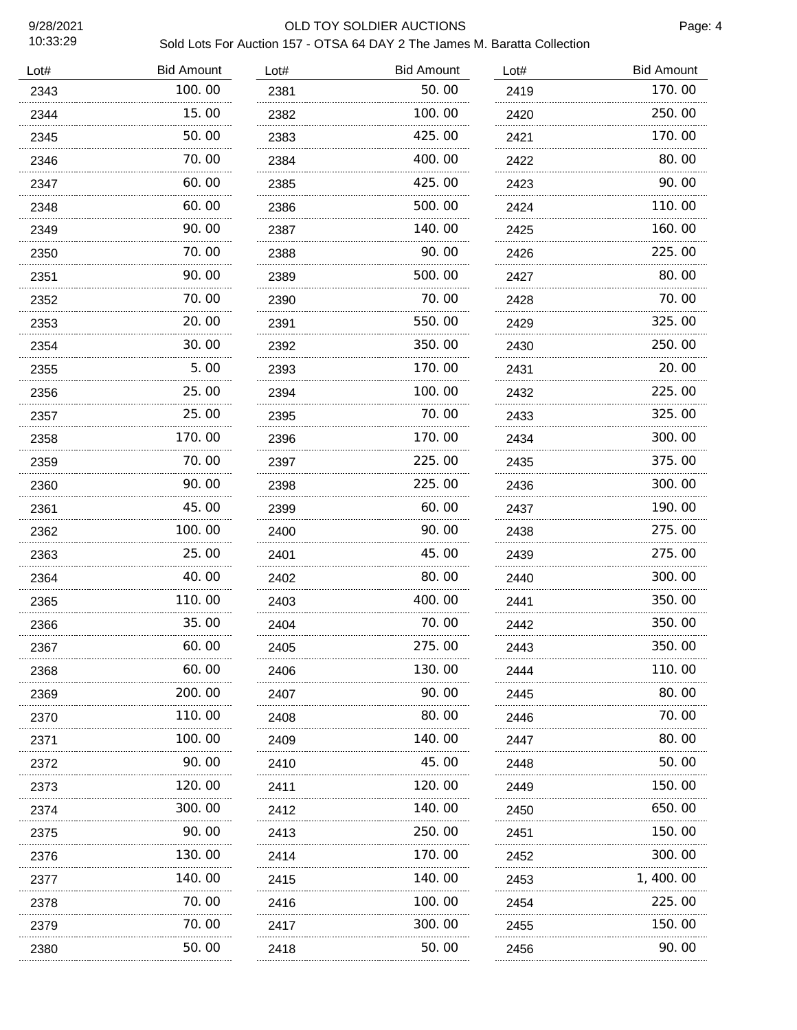### 9/28/2021 OLD TOY SOLDIER AUCTIONS

| Lot# | <b>Bid Amount</b> | Lot# | <b>Bid Amount</b> | Lot#      | <b>Bid Amount</b> |
|------|-------------------|------|-------------------|-----------|-------------------|
| 2343 | 100.00            | 2381 | 50.00             | 2419      | 170.00            |
| 2344 | 15.00             | 2382 | 100.00            | 2420      | 250.00            |
| 2345 | 50.00             | 2383 | 425.00            | 2421      | 170.00            |
| 2346 | 70.00             | 2384 | 400.00            | 2422      | 80.00             |
| 2347 | 60.00             | 2385 | 425.00            | 2423      | 90.00             |
| 2348 | 60.00             | 2386 | 500.00            | 2424      | 110.00            |
| 2349 | 90.00             | 2387 | 140.00            | 2425      | 160.00            |
| 2350 | 70. 00            | 2388 | 90.00             | 2426      | 225.00            |
| 2351 | 90.00             | 2389 | 500.00            | 2427      | 80.00             |
| 2352 | 70.00             | 2390 | 70.00             | 2428      | 70.00             |
| 2353 | 20.00             | 2391 | 550.00            | 2429      | 325.00            |
| 2354 | 30.00             | 2392 | 350.00            | 2430      | 250.00            |
| 2355 | 5.00              | 2393 | 170.00            | 2431      | 20.00             |
| 2356 | 25.00             | 2394 | 100.00            | 2432      | 225.00            |
| 2357 | 25.00             | 2395 | 70.00             | 2433      | 325.00            |
| 2358 | 170.00            | 2396 | 170.00            | 2434      | 300.00            |
| 2359 | 70.00             | 2397 | 225.00            | 2435      | 375.00            |
| 2360 | 90.00             | 2398 | 225.00            | 2436      | 300.00            |
| 2361 | 45.00             | 2399 | 60.00             | 2437<br>. | 190.00            |
| 2362 | 100.00            | 2400 | 90.00             | 2438      | 275.00            |
| 2363 | 25.00             | 2401 | 45.00             | 2439      | 275.00            |
| 2364 | 40.00             | 2402 | 80.00             | 2440      | 300.00            |
| 2365 | 110.00            | 2403 | 400.00            | 2441      | 350.00            |
| 2366 | 35.00             | 2404 | 70.00             | 2442      | 350.00            |
| 2367 | 60.00             | 2405 | 275.00            | 2443      | 350.00            |
| 2368 | 60.00             | 2406 | 130. 00           | 2444      | 110. 00           |
| 2369 | 200. 00           | 2407 | 90.00             | 2445      | 80.00             |
| 2370 | 110.00            | 2408 | 80.00             | 2446      | 70. 00            |
| 2371 | 100. 00           | 2409 | 140. 00           | 2447      | 80.00             |
| 2372 | 90. 00            | 2410 | 45.00             | 2448      | 50.00             |
| 2373 | 120. 00           | 2411 | 120.00            | 2449      | 150. 00           |
| 2374 | 300. 00           | 2412 | 140.00            | 2450      | 650.00            |
| 2375 | 90. 00            | 2413 | 250.00            | 2451      | 150.00            |
| 2376 | 130. 00           | 2414 | 170.00            | 2452      | 300.00            |
| 2377 | 140. 00           | 2415 | 140.00            | 2453      | 1, 400. 00        |
| 2378 | 70.00             | 2416 | 100.00            | 2454      | 225.00            |
| 2379 | 70.00             | 2417 | 300.00            | 2455      | 150.00            |
| 2380 | 50.00             | 2418 | 50.00             | 2456      | 90.00             |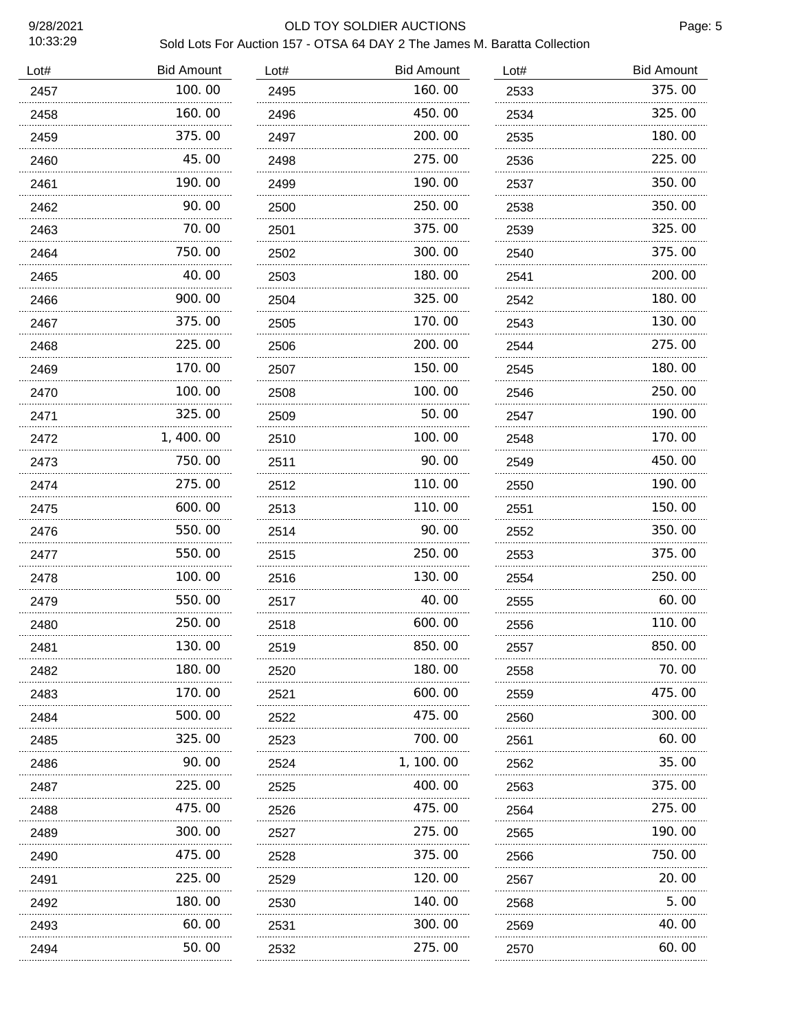### 9/28/2021 OLD TOY SOLDIER AUCTIONS

| Lot# | <b>Bid Amount</b> | Lot# | <b>Bid Amount</b> | Lot# | <b>Bid Amount</b> |
|------|-------------------|------|-------------------|------|-------------------|
| 2457 | 100.00            | 2495 | 160.00            | 2533 | 375.00            |
| 2458 | 160.00            | 2496 | 450.00            | 2534 | 325.00            |
| 2459 | 375.00<br>.       | 2497 | 200.00            | 2535 | 180.00            |
| 2460 | 45.00             | 2498 | 275.00            | 2536 | 225.00            |
| 2461 | 190. 00           | 2499 | 190.00            | 2537 | 350.00            |
| 2462 | 90.00             | 2500 | 250.00            | 2538 | 350.00            |
| 2463 | 70.00             | 2501 | 375.00            | 2539 | 325.00            |
| 2464 | 750.00            | 2502 | 300.00            | 2540 | 375.00            |
| 2465 | 40.00<br>.        | 2503 | 180.00            | 2541 | 200.00            |
| 2466 | 900. 00           | 2504 | 325.00            | 2542 | 180.00            |
| 2467 | 375.00            | 2505 | 170.00            | 2543 | 130.00            |
| 2468 | 225.00            | 2506 | 200, 00           | 2544 | 275.00            |
| 2469 | 170.00            | 2507 | 150.00            | 2545 | 180.00            |
| 2470 | 100.00            | 2508 | 100.00            | 2546 | 250.00            |
| 2471 | 325.00            | 2509 | 50.00             | 2547 | 190.00            |
| 2472 | 1, 400. 00        | 2510 | 100.00            | 2548 | 170.00            |
| 2473 | 750.00            | 2511 | 90.00             | 2549 | 450.00            |
| 2474 | 275.00            | 2512 | 110.00            | 2550 | 190.00            |
| 2475 | 600.00            | 2513 | 110.00            | 2551 | 150.00            |
| 2476 | 550.00            | 2514 | 90.00             | 2552 | 350.00            |
| 2477 | 550.00            | 2515 | 250.00            | 2553 | 375.00            |
| 2478 | 100.00            | 2516 | 130.00            | 2554 | 250.00            |
| 2479 | 550.00            | 2517 | 40.00             | 2555 | 60.00             |
| 2480 | 250.00            | 2518 | 600.00            | 2556 | 110.00            |
| 2481 | 130.00            | 2519 | 850.00            | 2557 | 850.00            |
| 2482 | 180.00            | 2520 | 180. 00           | 2558 | 70. 00            |
| 2483 | 170.00            | 2521 | 600.00            | 2559 | 475.00            |
| 2484 | 500.00            | 2522 | 475.00            | 2560 | 300. 00           |
| 2485 | 325.00            | 2523 | 700.00            | 2561 | 60.00             |
| 2486 | 90.00             | 2524 | 1, 100. 00        | 2562 | 35.00             |
| 2487 | 225.00            | 2525 | 400.00            | 2563 | 375.00            |
| 2488 | 475.00            | 2526 | 475.00            | 2564 | 275.00            |
| 2489 | 300.00            | 2527 | 275.00            | 2565 | 190.00            |
| 2490 | 475.00            | 2528 | 375.00            | 2566 | 750.00            |
| 2491 | 225.00            | 2529 | 120.00            | 2567 | 20.00             |
| 2492 | 180.00            | 2530 | 140. 00           | 2568 | 5.00              |
| 2493 | 60.00             | 2531 | 300.00            | 2569 | 40.00             |
| 2494 | 50.00             | 2532 | 275.00            | 2570 | 60.00             |